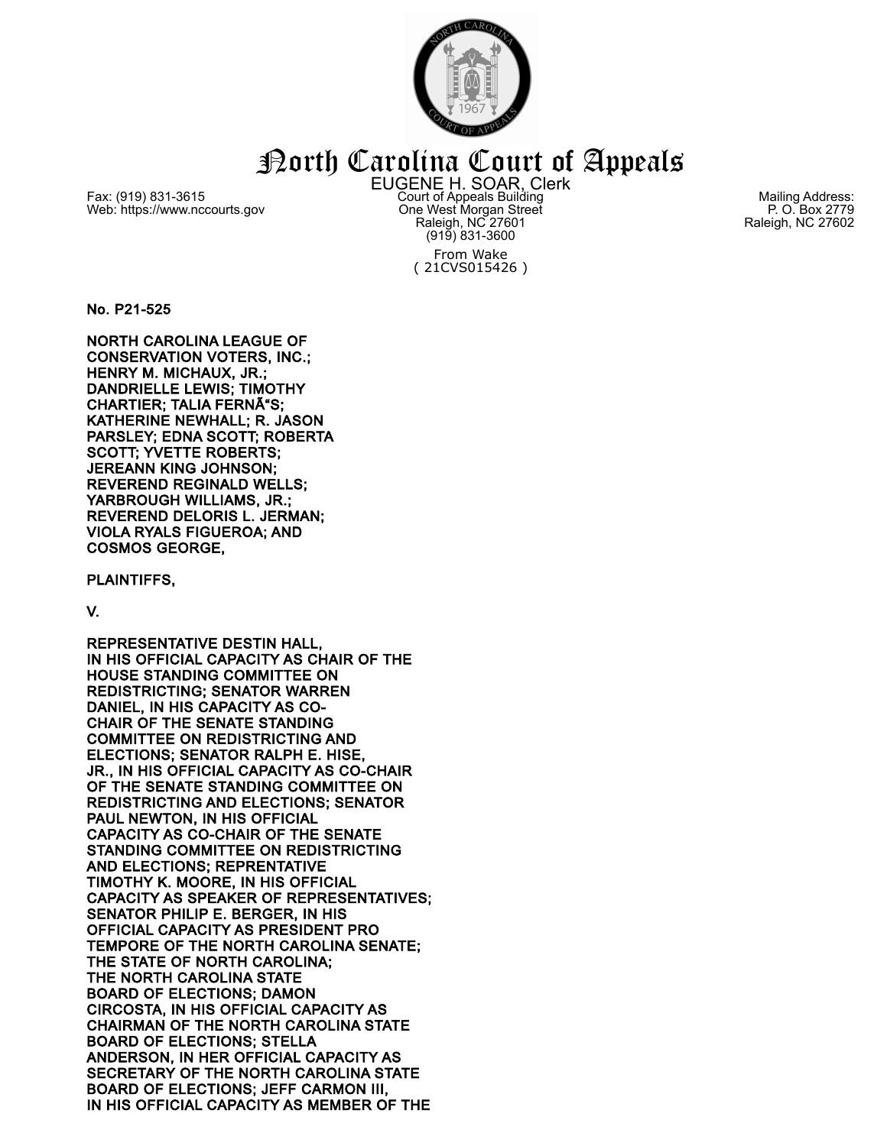

## North Carolina Court of Appeals

Fax: (919) 831-3615 Web: https://www.nccourts.gov EUGENE H. SOAR, Clerk Court of Appeals Building One West Morgan Street Raleigh, NC 27601 (919) 831-3600 From Wake ( 21CVS015426 )

Mailing Address: P. O. Box 2779 Raleigh, NC 27602

No. P21-525

NORTH CAROLINA LEAGUE OF CONSERVATION VOTERS, INC.; HENRY M. MICHAUX, JR.; DANDRIELLE LEWIS; TIMOTHY CHARTIER; TALIA FERNÃ S; KATHERINE NEWHALL; R. JASON PARSLEY; EDNA SCOTT; ROBERTA SCOTT; YVETTE ROBERTS; JEREANN KING JOHNSON; REVEREND REGINALD WELLS; YARBROUGH WILLIAMS, JR.; REVEREND DELORIS L. JERMAN; VIOLA RYALS FIGUEROA; AND COSMOS GEORGE,

PLAINTIFFS,

## V.

REPRESENTATIVE DESTIN HALL, IN HIS OFFICIAL CAPACITY AS CHAIR OF THE HOUSE STANDING COMMITTEE ON REDISTRICTING; SENATOR WARREN DANIEL, IN HIS CAPACITY AS CO-CHAIR OF THE SENATE STANDING COMMITTEE ON REDISTRICTING AND ELECTIONS; SENATOR RALPH E. HISE, JR., IN HIS OFFICIAL CAPACITY AS CO-CHAIR OF THE SENATE STANDING COMMITTEE ON REDISTRICTING AND ELECTIONS; SENATOR PAUL NEWTON, IN HIS OFFICIAL CAPACITY AS CO-CHAIR OF THE SENATE STANDING COMMITTEE ON REDISTRICTING AND ELECTIONS; REPRENTATIVE TIMOTHY K. MOORE, IN HIS OFFICIAL CAPACITY AS SPEAKER OF REPRESENTATIVES; SENATOR PHILIP E. BERGER, IN HIS OFFICIAL CAPACITY AS PRESIDENT PRO TEMPORE OF THE NORTH CAROLINA SENATE; THE STATE OF NORTH CAROLINA; THE NORTH CAROLINA STATE BOARD OF ELECTIONS; DAMON CIRCOSTA, IN HIS OFFICIAL CAPACITY AS CHAIRMAN OF THE NORTH CAROLINA STATE BOARD OF ELECTIONS; STELLA ANDERSON, IN HER OFFICIAL CAPACITY AS SECRETARY OF THE NORTH CAROLINA STATE BOARD OF ELECTIONS; JEFF CARMON III, IN HIS OFFICIAL CAPACITY AS MEMBER OF THE